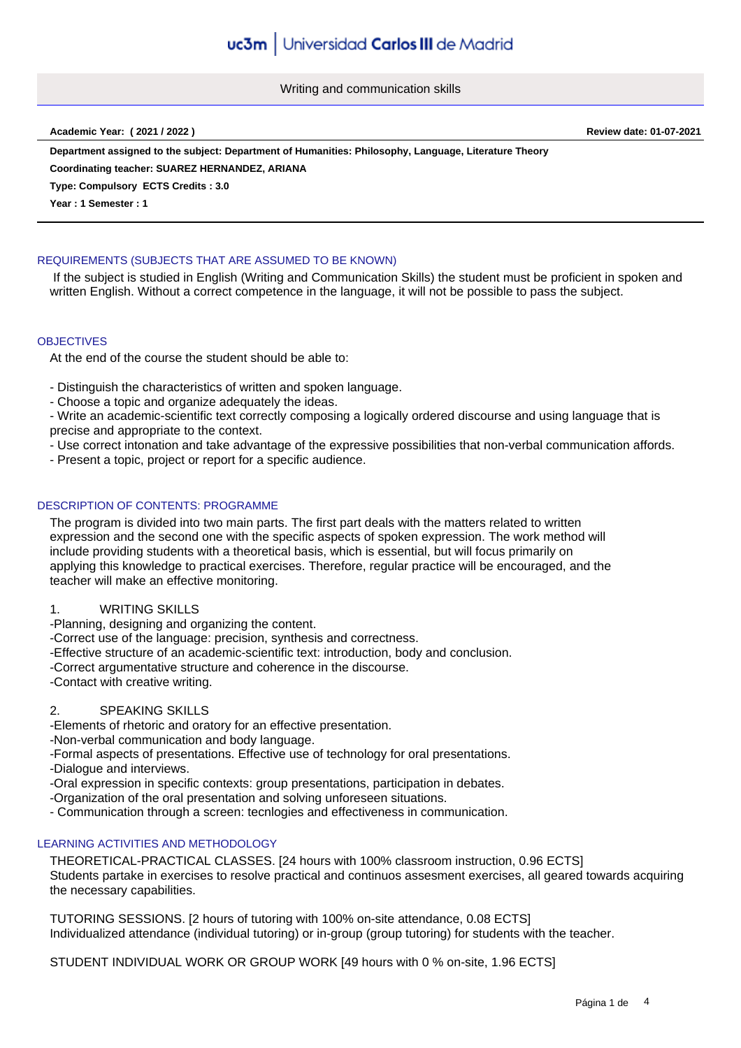Writing and communication skills

**Academic Year: ( 2021 / 2022 ) Review date: 01-07-2021**

**Department assigned to the subject: Department of Humanities: Philosophy, Language, Literature Theory**

**Coordinating teacher: SUAREZ HERNANDEZ, ARIANA**

**Type: Compulsory ECTS Credits : 3.0**

**Year : 1 Semester : 1**

# REQUIREMENTS (SUBJECTS THAT ARE ASSUMED TO BE KNOWN)

 If the subject is studied in English (Writing and Communication Skills) the student must be proficient in spoken and written English. Without a correct competence in the language, it will not be possible to pass the subject.

## **OBJECTIVES**

At the end of the course the student should be able to:

- Distinguish the characteristics of written and spoken language.

- Choose a topic and organize adequately the ideas.

- Write an academic-scientific text correctly composing a logically ordered discourse and using language that is precise and appropriate to the context.

- Use correct intonation and take advantage of the expressive possibilities that non-verbal communication affords.

- Present a topic, project or report for a specific audience.

# DESCRIPTION OF CONTENTS: PROGRAMME

The program is divided into two main parts. The first part deals with the matters related to written expression and the second one with the specific aspects of spoken expression. The work method will include providing students with a theoretical basis, which is essential, but will focus primarily on applying this knowledge to practical exercises. Therefore, regular practice will be encouraged, and the teacher will make an effective monitoring.

1. WRITING SKILLS

-Planning, designing and organizing the content.

-Correct use of the language: precision, synthesis and correctness.

-Effective structure of an academic-scientific text: introduction, body and conclusion.

-Correct argumentative structure and coherence in the discourse.

-Contact with creative writing.

## 2. SPEAKING SKILLS

-Elements of rhetoric and oratory for an effective presentation.

-Non-verbal communication and body language.

-Formal aspects of presentations. Effective use of technology for oral presentations.

-Dialogue and interviews.

-Oral expression in specific contexts: group presentations, participation in debates.

-Organization of the oral presentation and solving unforeseen situations.

- Communication through a screen: tecnlogies and effectiveness in communication.

## LEARNING ACTIVITIES AND METHODOLOGY

THEORETICAL-PRACTICAL CLASSES. [24 hours with 100% classroom instruction, 0.96 ECTS] Students partake in exercises to resolve practical and continuos assesment exercises, all geared towards acquiring the necessary capabilities.

TUTORING SESSIONS. [2 hours of tutoring with 100% on-site attendance, 0.08 ECTS] Individualized attendance (individual tutoring) or in-group (group tutoring) for students with the teacher.

STUDENT INDIVIDUAL WORK OR GROUP WORK [49 hours with 0 % on-site, 1.96 ECTS]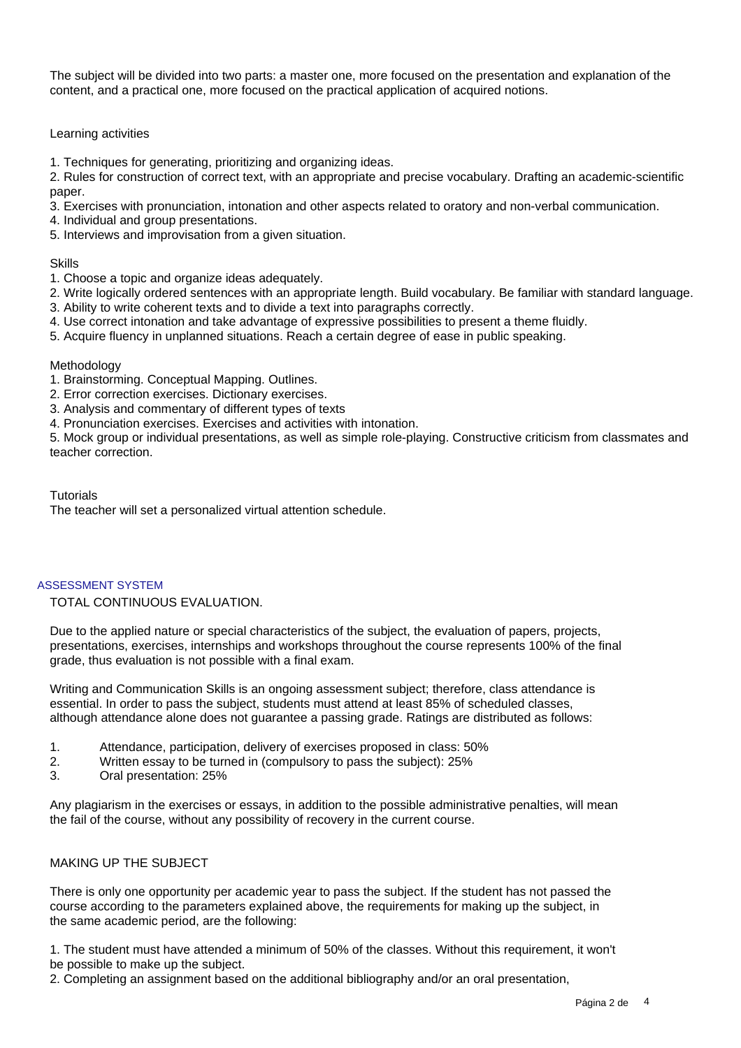The subject will be divided into two parts: a master one, more focused on the presentation and explanation of the content, and a practical one, more focused on the practical application of acquired notions.

# Learning activities

1. Techniques for generating, prioritizing and organizing ideas.

2. Rules for construction of correct text, with an appropriate and precise vocabulary. Drafting an academic-scientific paper.

- 3. Exercises with pronunciation, intonation and other aspects related to oratory and non-verbal communication.
- 4. Individual and group presentations.
- 5. Interviews and improvisation from a given situation.

## **Skills**

- 1. Choose a topic and organize ideas adequately.
- 2. Write logically ordered sentences with an appropriate length. Build vocabulary. Be familiar with standard language.
- 3. Ability to write coherent texts and to divide a text into paragraphs correctly.
- 4. Use correct intonation and take advantage of expressive possibilities to present a theme fluidly.
- 5. Acquire fluency in unplanned situations. Reach a certain degree of ease in public speaking.

#### Methodology

- 1. Brainstorming. Conceptual Mapping. Outlines.
- 2. Error correction exercises. Dictionary exercises.
- 3. Analysis and commentary of different types of texts
- 4. Pronunciation exercises. Exercises and activities with intonation.

5. Mock group or individual presentations, as well as simple role-playing. Constructive criticism from classmates and teacher correction.

#### **Tutorials**

The teacher will set a personalized virtual attention schedule.

## ASSESSMENT SYSTEM

TOTAL CONTINUOUS EVALUATION.

Due to the applied nature or special characteristics of the subject, the evaluation of papers, projects, presentations, exercises, internships and workshops throughout the course represents 100% of the final grade, thus evaluation is not possible with a final exam.

Writing and Communication Skills is an ongoing assessment subject; therefore, class attendance is essential. In order to pass the subject, students must attend at least 85% of scheduled classes, although attendance alone does not guarantee a passing grade. Ratings are distributed as follows:

- 1. Attendance, participation, delivery of exercises proposed in class: 50%
- 2. Written essay to be turned in (compulsory to pass the subject): 25%
- 3. Oral presentation: 25%

Any plagiarism in the exercises or essays, in addition to the possible administrative penalties, will mean the fail of the course, without any possibility of recovery in the current course.

## MAKING UP THE SUBJECT

There is only one opportunity per academic year to pass the subject. If the student has not passed the course according to the parameters explained above, the requirements for making up the subject, in the same academic period, are the following:

1. The student must have attended a minimum of 50% of the classes. Without this requirement, it won't be possible to make up the subject.

2. Completing an assignment based on the additional bibliography and/or an oral presentation,